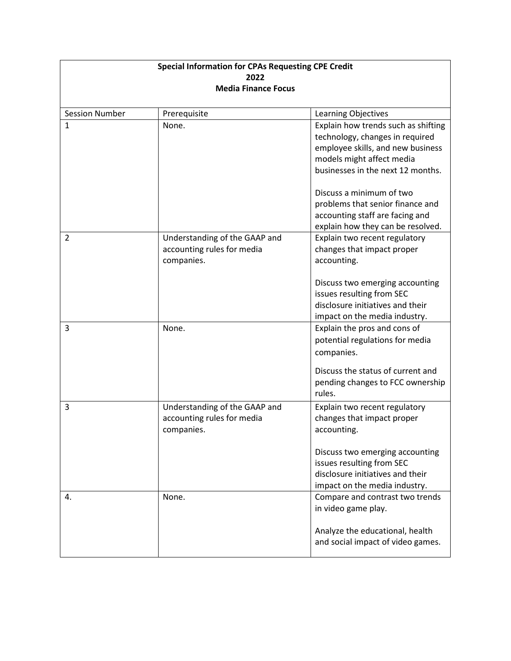| <b>Special Information for CPAs Requesting CPE Credit</b> |                               |                                            |
|-----------------------------------------------------------|-------------------------------|--------------------------------------------|
| 2022                                                      |                               |                                            |
|                                                           | <b>Media Finance Focus</b>    |                                            |
| <b>Session Number</b>                                     | Prerequisite                  | Learning Objectives                        |
| $\mathbf{1}$                                              | None.                         | Explain how trends such as shifting        |
|                                                           |                               | technology, changes in required            |
|                                                           |                               | employee skills, and new business          |
|                                                           |                               | models might affect media                  |
|                                                           |                               | businesses in the next 12 months.          |
|                                                           |                               |                                            |
|                                                           |                               | Discuss a minimum of two                   |
|                                                           |                               | problems that senior finance and           |
|                                                           |                               | accounting staff are facing and            |
|                                                           |                               | explain how they can be resolved.          |
| $\overline{2}$                                            | Understanding of the GAAP and | Explain two recent regulatory              |
|                                                           | accounting rules for media    | changes that impact proper                 |
|                                                           | companies.                    | accounting.                                |
|                                                           |                               |                                            |
|                                                           |                               | Discuss two emerging accounting            |
|                                                           |                               | issues resulting from SEC                  |
|                                                           |                               | disclosure initiatives and their           |
|                                                           |                               | impact on the media industry.              |
| 3                                                         | None.                         | Explain the pros and cons of               |
|                                                           |                               | potential regulations for media            |
|                                                           |                               | companies.                                 |
|                                                           |                               | Discuss the status of current and          |
|                                                           |                               |                                            |
|                                                           |                               | pending changes to FCC ownership<br>rules. |
|                                                           |                               |                                            |
| 3                                                         | Understanding of the GAAP and | Explain two recent regulatory              |
|                                                           | accounting rules for media    | changes that impact proper                 |
|                                                           | companies.                    | accounting.                                |
|                                                           |                               | Discuss two emerging accounting            |
|                                                           |                               | issues resulting from SEC                  |
|                                                           |                               | disclosure initiatives and their           |
|                                                           |                               | impact on the media industry.              |
| 4.                                                        | None.                         | Compare and contrast two trends            |
|                                                           |                               | in video game play.                        |
|                                                           |                               |                                            |
|                                                           |                               | Analyze the educational, health            |
|                                                           |                               | and social impact of video games.          |
|                                                           |                               |                                            |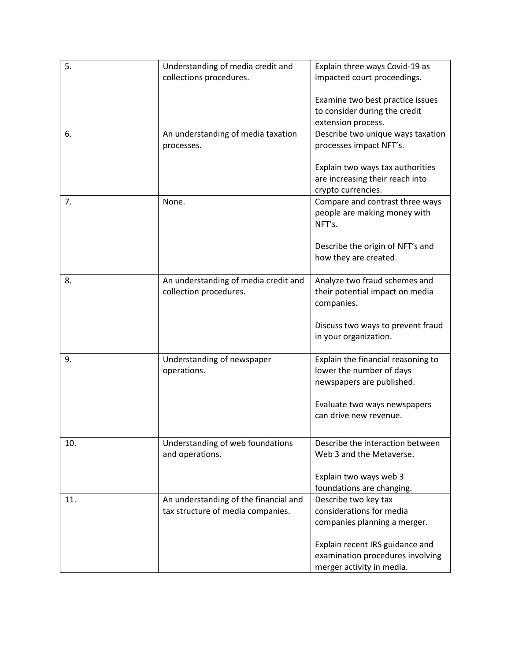| 5.  | Understanding of media credit and     | Explain three ways Covid-19 as                         |
|-----|---------------------------------------|--------------------------------------------------------|
|     | collections procedures.               | impacted court proceedings.                            |
|     |                                       |                                                        |
|     |                                       | Examine two best practice issues                       |
|     |                                       | to consider during the credit                          |
|     |                                       | extension process.                                     |
| 6.  | An understanding of media taxation    | Describe two unique ways taxation                      |
|     | processes.                            | processes impact NFT's.                                |
|     |                                       |                                                        |
|     |                                       | Explain two ways tax authorities                       |
|     |                                       | are increasing their reach into                        |
|     |                                       | crypto currencies.                                     |
| 7.  | None.                                 | Compare and contrast three ways                        |
|     |                                       | people are making money with                           |
|     |                                       | NFT's.                                                 |
|     |                                       |                                                        |
|     |                                       | Describe the origin of NFT's and                       |
|     |                                       | how they are created.                                  |
|     |                                       |                                                        |
| 8.  | An understanding of media credit and  | Analyze two fraud schemes and                          |
|     | collection procedures.                | their potential impact on media                        |
|     |                                       | companies.                                             |
|     |                                       |                                                        |
|     |                                       | Discuss two ways to prevent fraud                      |
|     |                                       | in your organization.                                  |
|     |                                       |                                                        |
| 9.  | Understanding of newspaper            | Explain the financial reasoning to                     |
|     | operations.                           | lower the number of days                               |
|     |                                       | newspapers are published.                              |
|     |                                       |                                                        |
|     |                                       | Evaluate two ways newspapers<br>can drive new revenue. |
|     |                                       |                                                        |
|     |                                       |                                                        |
| 10. | Understanding of web foundations      | Describe the interaction between                       |
|     | and operations.                       | Web 3 and the Metaverse.                               |
|     |                                       |                                                        |
|     |                                       | Explain two ways web 3                                 |
|     |                                       | foundations are changing.                              |
| 11. | An understanding of the financial and | Describe two key tax                                   |
|     | tax structure of media companies.     | considerations for media                               |
|     |                                       | companies planning a merger.                           |
|     |                                       |                                                        |
|     |                                       | Explain recent IRS guidance and                        |
|     |                                       | examination procedures involving                       |
|     |                                       | merger activity in media.                              |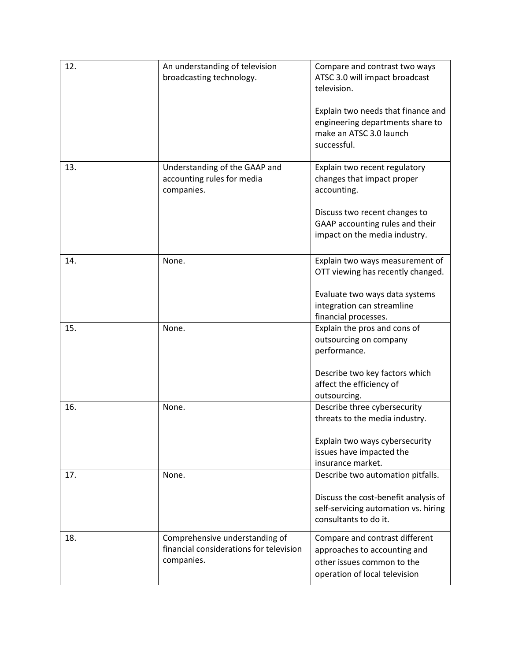| 12. | An understanding of television<br>broadcasting technology.                              | Compare and contrast two ways<br>ATSC 3.0 will impact broadcast<br>television.<br>Explain two needs that finance and<br>engineering departments share to<br>make an ATSC 3.0 launch<br>successful. |
|-----|-----------------------------------------------------------------------------------------|----------------------------------------------------------------------------------------------------------------------------------------------------------------------------------------------------|
| 13. | Understanding of the GAAP and<br>accounting rules for media<br>companies.               | Explain two recent regulatory<br>changes that impact proper<br>accounting.<br>Discuss two recent changes to<br>GAAP accounting rules and their<br>impact on the media industry.                    |
| 14. | None.                                                                                   | Explain two ways measurement of<br>OTT viewing has recently changed.<br>Evaluate two ways data systems<br>integration can streamline<br>financial processes.                                       |
| 15. | None.                                                                                   | Explain the pros and cons of<br>outsourcing on company<br>performance.<br>Describe two key factors which<br>affect the efficiency of<br>outsourcing.                                               |
| 16. | None.                                                                                   | Describe three cybersecurity<br>threats to the media industry.<br>Explain two ways cybersecurity<br>issues have impacted the<br>insurance market.                                                  |
| 17. | None.                                                                                   | Describe two automation pitfalls.<br>Discuss the cost-benefit analysis of<br>self-servicing automation vs. hiring<br>consultants to do it.                                                         |
| 18. | Comprehensive understanding of<br>financial considerations for television<br>companies. | Compare and contrast different<br>approaches to accounting and<br>other issues common to the<br>operation of local television                                                                      |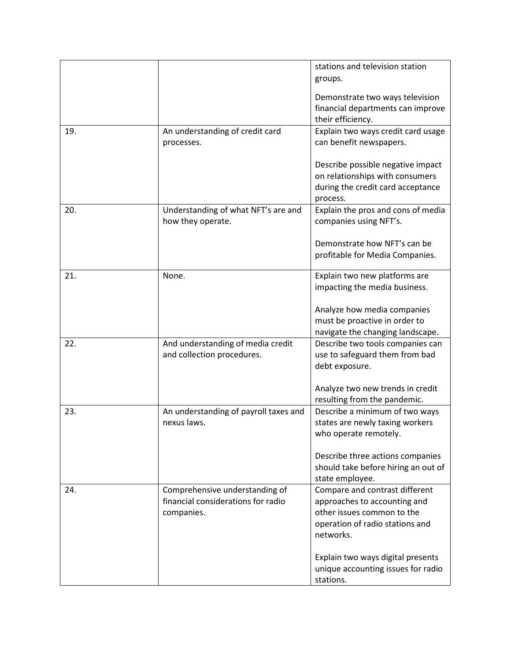|     |                                       | stations and television station     |
|-----|---------------------------------------|-------------------------------------|
|     |                                       | groups.                             |
|     |                                       |                                     |
|     |                                       | Demonstrate two ways television     |
|     |                                       | financial departments can improve   |
|     |                                       | their efficiency.                   |
| 19. | An understanding of credit card       | Explain two ways credit card usage  |
|     | processes.                            | can benefit newspapers.             |
|     |                                       |                                     |
|     |                                       | Describe possible negative impact   |
|     |                                       | on relationships with consumers     |
|     |                                       | during the credit card acceptance   |
|     |                                       | process.                            |
| 20. | Understanding of what NFT's are and   | Explain the pros and cons of media  |
|     | how they operate.                     | companies using NFT's.              |
|     |                                       |                                     |
|     |                                       | Demonstrate how NFT's can be        |
|     |                                       | profitable for Media Companies.     |
|     |                                       |                                     |
| 21. | None.                                 | Explain two new platforms are       |
|     |                                       | impacting the media business.       |
|     |                                       |                                     |
|     |                                       | Analyze how media companies         |
|     |                                       | must be proactive in order to       |
|     |                                       | navigate the changing landscape.    |
| 22. | And understanding of media credit     | Describe two tools companies can    |
|     | and collection procedures.            | use to safeguard them from bad      |
|     |                                       | debt exposure.                      |
|     |                                       |                                     |
|     |                                       | Analyze two new trends in credit    |
|     |                                       | resulting from the pandemic.        |
| 23. | An understanding of payroll taxes and | Describe a minimum of two ways      |
|     | nexus laws.                           | states are newly taxing workers     |
|     |                                       | who operate remotely.               |
|     |                                       |                                     |
|     |                                       | Describe three actions companies    |
|     |                                       | should take before hiring an out of |
|     |                                       | state employee.                     |
| 24. | Comprehensive understanding of        | Compare and contrast different      |
|     | financial considerations for radio    | approaches to accounting and        |
|     | companies.                            | other issues common to the          |
|     |                                       | operation of radio stations and     |
|     |                                       | networks.                           |
|     |                                       |                                     |
|     |                                       | Explain two ways digital presents   |
|     |                                       | unique accounting issues for radio  |
|     |                                       | stations.                           |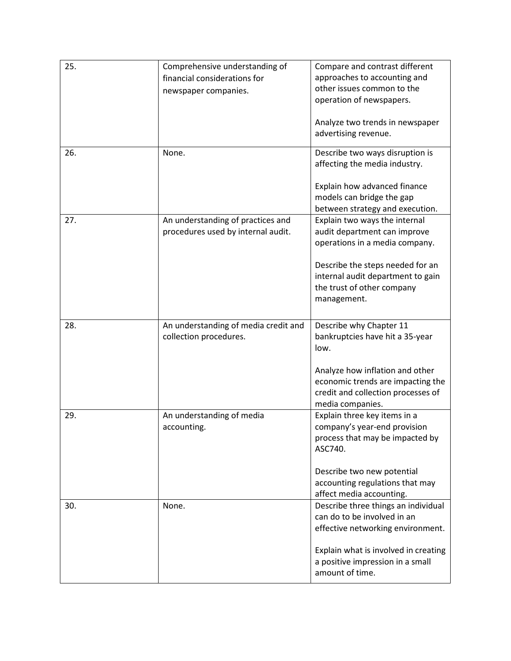| 25. | Comprehensive understanding of       | Compare and contrast different                      |
|-----|--------------------------------------|-----------------------------------------------------|
|     | financial considerations for         | approaches to accounting and                        |
|     | newspaper companies.                 | other issues common to the                          |
|     |                                      | operation of newspapers.                            |
|     |                                      |                                                     |
|     |                                      | Analyze two trends in newspaper                     |
|     |                                      | advertising revenue.                                |
| 26. | None.                                | Describe two ways disruption is                     |
|     |                                      | affecting the media industry.                       |
|     |                                      |                                                     |
|     |                                      | Explain how advanced finance                        |
|     |                                      | models can bridge the gap                           |
|     |                                      | between strategy and execution.                     |
| 27. | An understanding of practices and    | Explain two ways the internal                       |
|     | procedures used by internal audit.   | audit department can improve                        |
|     |                                      | operations in a media company.                      |
|     |                                      |                                                     |
|     |                                      | Describe the steps needed for an                    |
|     |                                      | internal audit department to gain                   |
|     |                                      | the trust of other company                          |
|     |                                      | management.                                         |
|     |                                      |                                                     |
|     |                                      |                                                     |
| 28. | An understanding of media credit and | Describe why Chapter 11                             |
|     | collection procedures.               | bankruptcies have hit a 35-year                     |
|     |                                      | low.                                                |
|     |                                      |                                                     |
|     |                                      | Analyze how inflation and other                     |
|     |                                      | economic trends are impacting the                   |
|     |                                      | credit and collection processes of                  |
|     |                                      | media companies.                                    |
| 29. | An understanding of media            | Explain three key items in a                        |
|     | accounting.                          | company's year-end provision                        |
|     |                                      | process that may be impacted by<br>ASC740.          |
|     |                                      |                                                     |
|     |                                      | Describe two new potential                          |
|     |                                      | accounting regulations that may                     |
|     |                                      | affect media accounting.                            |
| 30. | None.                                | Describe three things an individual                 |
|     |                                      | can do to be involved in an                         |
|     |                                      | effective networking environment.                   |
|     |                                      |                                                     |
|     |                                      | Explain what is involved in creating                |
|     |                                      | a positive impression in a small<br>amount of time. |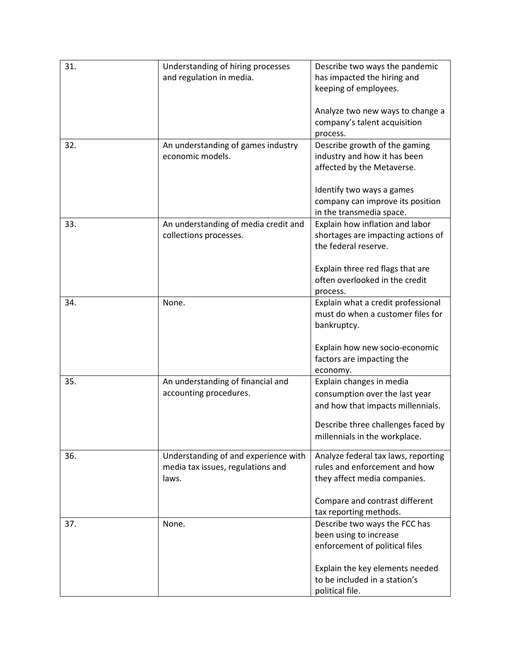| 31. | Understanding of hiring processes    | Describe two ways the pandemic                                     |
|-----|--------------------------------------|--------------------------------------------------------------------|
|     | and regulation in media.             | has impacted the hiring and                                        |
|     |                                      | keeping of employees.                                              |
|     |                                      |                                                                    |
|     |                                      | Analyze two new ways to change a                                   |
|     |                                      | company's talent acquisition                                       |
|     |                                      | process.                                                           |
| 32. | An understanding of games industry   | Describe growth of the gaming                                      |
|     | economic models.                     | industry and how it has been                                       |
|     |                                      | affected by the Metaverse.                                         |
|     |                                      |                                                                    |
|     |                                      | Identify two ways a games                                          |
|     |                                      | company can improve its position                                   |
|     |                                      | in the transmedia space.                                           |
| 33. | An understanding of media credit and | Explain how inflation and labor                                    |
|     | collections processes.               | shortages are impacting actions of                                 |
|     |                                      | the federal reserve.                                               |
|     |                                      |                                                                    |
|     |                                      | Explain three red flags that are<br>often overlooked in the credit |
|     |                                      |                                                                    |
| 34. | None.                                | process.<br>Explain what a credit professional                     |
|     |                                      | must do when a customer files for                                  |
|     |                                      | bankruptcy.                                                        |
|     |                                      |                                                                    |
|     |                                      | Explain how new socio-economic                                     |
|     |                                      | factors are impacting the                                          |
|     |                                      | economy.                                                           |
| 35. | An understanding of financial and    | Explain changes in media                                           |
|     | accounting procedures.               | consumption over the last year                                     |
|     |                                      | and how that impacts millennials.                                  |
|     |                                      |                                                                    |
|     |                                      | Describe three challenges faced by                                 |
|     |                                      | millennials in the workplace.                                      |
| 36. | Understanding of and experience with | Analyze federal tax laws, reporting                                |
|     | media tax issues, regulations and    | rules and enforcement and how                                      |
|     | laws.                                | they affect media companies.                                       |
|     |                                      |                                                                    |
|     |                                      | Compare and contrast different                                     |
|     |                                      | tax reporting methods.                                             |
| 37. | None.                                | Describe two ways the FCC has                                      |
|     |                                      | been using to increase                                             |
|     |                                      | enforcement of political files                                     |
|     |                                      |                                                                    |
|     |                                      | Explain the key elements needed                                    |
|     |                                      | to be included in a station's                                      |
|     |                                      | political file.                                                    |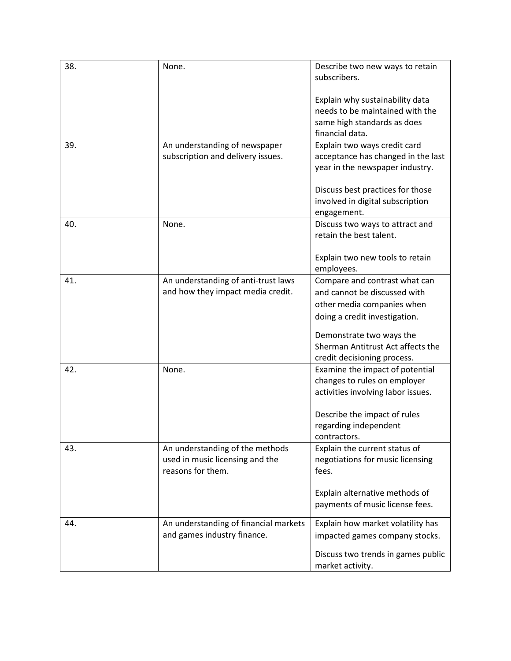| 38. | None.                                 | Describe two new ways to retain    |
|-----|---------------------------------------|------------------------------------|
|     |                                       | subscribers.                       |
|     |                                       | Explain why sustainability data    |
|     |                                       | needs to be maintained with the    |
|     |                                       | same high standards as does        |
|     |                                       | financial data.                    |
| 39. | An understanding of newspaper         | Explain two ways credit card       |
|     | subscription and delivery issues.     | acceptance has changed in the last |
|     |                                       | year in the newspaper industry.    |
|     |                                       | Discuss best practices for those   |
|     |                                       | involved in digital subscription   |
|     |                                       | engagement.                        |
| 40. | None.                                 | Discuss two ways to attract and    |
|     |                                       | retain the best talent.            |
|     |                                       | Explain two new tools to retain    |
|     |                                       | employees.                         |
| 41. | An understanding of anti-trust laws   | Compare and contrast what can      |
|     | and how they impact media credit.     | and cannot be discussed with       |
|     |                                       | other media companies when         |
|     |                                       | doing a credit investigation.      |
|     |                                       | Demonstrate two ways the           |
|     |                                       | Sherman Antitrust Act affects the  |
|     |                                       | credit decisioning process.        |
| 42. | None.                                 | Examine the impact of potential    |
|     |                                       | changes to rules on employer       |
|     |                                       | activities involving labor issues. |
|     |                                       | Describe the impact of rules       |
|     |                                       | regarding independent              |
|     |                                       | contractors.                       |
| 43. | An understanding of the methods       | Explain the current status of      |
|     | used in music licensing and the       | negotiations for music licensing   |
|     | reasons for them.                     | fees.                              |
|     |                                       | Explain alternative methods of     |
|     |                                       | payments of music license fees.    |
|     |                                       |                                    |
| 44. | An understanding of financial markets | Explain how market volatility has  |
|     | and games industry finance.           | impacted games company stocks.     |
|     |                                       | Discuss two trends in games public |
|     |                                       | market activity.                   |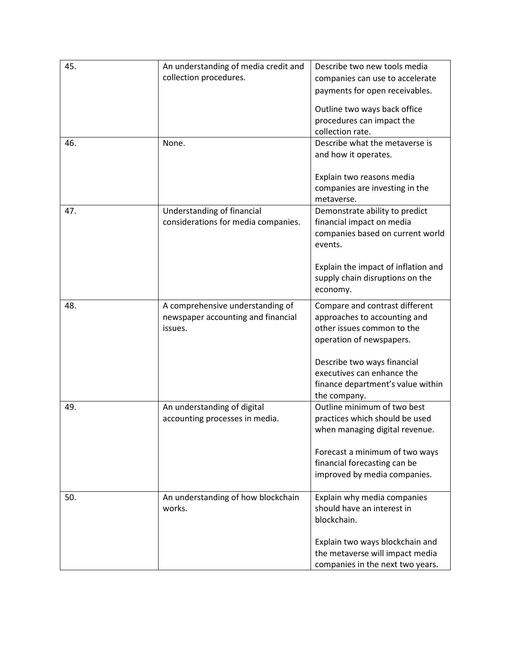| 45. | An understanding of media credit and | Describe two new tools media                                           |
|-----|--------------------------------------|------------------------------------------------------------------------|
|     | collection procedures.               | companies can use to accelerate                                        |
|     |                                      | payments for open receivables.                                         |
|     |                                      | Outline two ways back office                                           |
|     |                                      | procedures can impact the                                              |
|     |                                      | collection rate.                                                       |
| 46. | None.                                | Describe what the metaverse is                                         |
|     |                                      | and how it operates.                                                   |
|     |                                      | Explain two reasons media                                              |
|     |                                      | companies are investing in the                                         |
|     |                                      | metaverse.                                                             |
| 47. | Understanding of financial           | Demonstrate ability to predict                                         |
|     | considerations for media companies.  | financial impact on media                                              |
|     |                                      | companies based on current world<br>events.                            |
|     |                                      |                                                                        |
|     |                                      | Explain the impact of inflation and<br>supply chain disruptions on the |
|     |                                      | economy.                                                               |
|     |                                      |                                                                        |
| 48. | A comprehensive understanding of     | Compare and contrast different                                         |
|     | newspaper accounting and financial   | approaches to accounting and                                           |
|     | issues.                              | other issues common to the                                             |
|     |                                      | operation of newspapers.                                               |
|     |                                      | Describe two ways financial                                            |
|     |                                      | executives can enhance the                                             |
|     |                                      | finance department's value within                                      |
|     |                                      | the company.                                                           |
| 49. | An understanding of digital          | Outline minimum of two best                                            |
|     | accounting processes in media.       | practices which should be used                                         |
|     |                                      | when managing digital revenue.                                         |
|     |                                      |                                                                        |
|     |                                      | Forecast a minimum of two ways                                         |
|     |                                      | financial forecasting can be                                           |
|     |                                      | improved by media companies.                                           |
| 50. | An understanding of how blockchain   | Explain why media companies                                            |
|     | works.                               | should have an interest in                                             |
|     |                                      | blockchain.                                                            |
|     |                                      |                                                                        |
|     |                                      | Explain two ways blockchain and                                        |
|     |                                      | the metaverse will impact media                                        |
|     |                                      | companies in the next two years.                                       |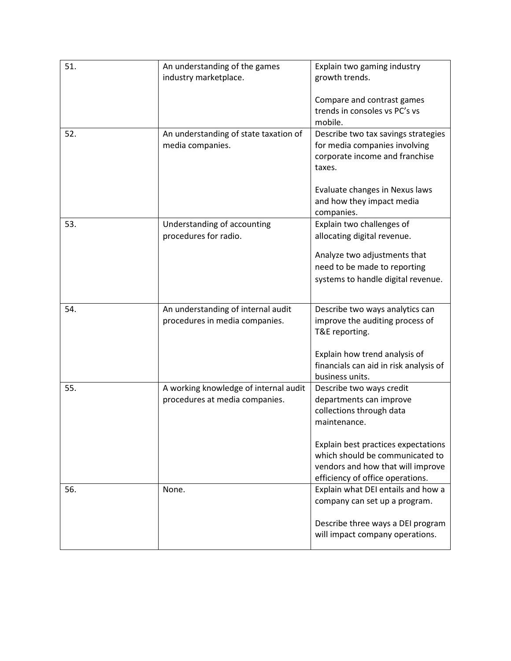| 51. | An understanding of the games<br>industry marketplace.                  | Explain two gaming industry<br>growth trends.                                                                                                      |
|-----|-------------------------------------------------------------------------|----------------------------------------------------------------------------------------------------------------------------------------------------|
|     |                                                                         | Compare and contrast games<br>trends in consoles vs PC's vs<br>mobile.                                                                             |
| 52. | An understanding of state taxation of<br>media companies.               | Describe two tax savings strategies<br>for media companies involving<br>corporate income and franchise<br>taxes.<br>Evaluate changes in Nexus laws |
|     |                                                                         | and how they impact media<br>companies.                                                                                                            |
| 53. | Understanding of accounting<br>procedures for radio.                    | Explain two challenges of<br>allocating digital revenue.                                                                                           |
|     |                                                                         | Analyze two adjustments that<br>need to be made to reporting<br>systems to handle digital revenue.                                                 |
| 54. | An understanding of internal audit<br>procedures in media companies.    | Describe two ways analytics can<br>improve the auditing process of<br>T&E reporting.<br>Explain how trend analysis of                              |
|     |                                                                         | financials can aid in risk analysis of<br>business units.                                                                                          |
| 55. | A working knowledge of internal audit<br>procedures at media companies. | Describe two ways credit<br>departments can improve<br>collections through data<br>maintenance.                                                    |
|     |                                                                         | Explain best practices expectations<br>which should be communicated to<br>vendors and how that will improve<br>efficiency of office operations.    |
| 56. | None.                                                                   | Explain what DEI entails and how a<br>company can set up a program.                                                                                |
|     |                                                                         | Describe three ways a DEI program<br>will impact company operations.                                                                               |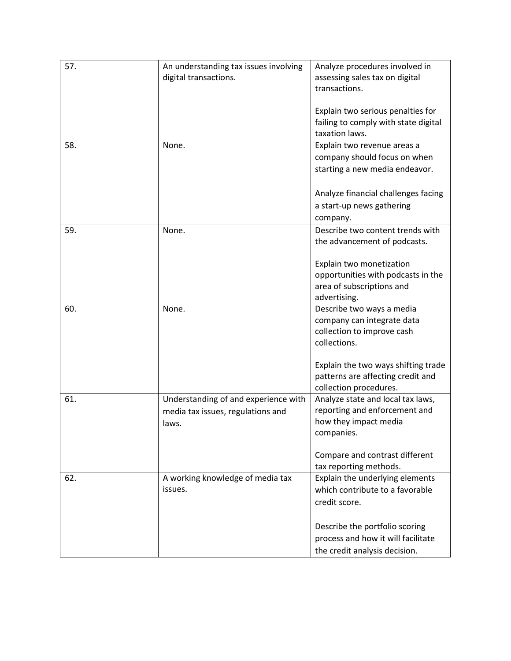| 57. | An understanding tax issues involving | Analyze procedures involved in       |
|-----|---------------------------------------|--------------------------------------|
|     | digital transactions.                 | assessing sales tax on digital       |
|     |                                       | transactions.                        |
|     |                                       |                                      |
|     |                                       | Explain two serious penalties for    |
|     |                                       | failing to comply with state digital |
|     |                                       | taxation laws.                       |
| 58. | None.                                 | Explain two revenue areas a          |
|     |                                       | company should focus on when         |
|     |                                       | starting a new media endeavor.       |
|     |                                       |                                      |
|     |                                       | Analyze financial challenges facing  |
|     |                                       | a start-up news gathering            |
|     |                                       | company.                             |
| 59. | None.                                 | Describe two content trends with     |
|     |                                       | the advancement of podcasts.         |
|     |                                       |                                      |
|     |                                       | Explain two monetization             |
|     |                                       | opportunities with podcasts in the   |
|     |                                       | area of subscriptions and            |
|     |                                       | advertising.                         |
| 60. | None.                                 | Describe two ways a media            |
|     |                                       | company can integrate data           |
|     |                                       | collection to improve cash           |
|     |                                       | collections.                         |
|     |                                       |                                      |
|     |                                       | Explain the two ways shifting trade  |
|     |                                       | patterns are affecting credit and    |
|     |                                       | collection procedures.               |
| 61. | Understanding of and experience with  | Analyze state and local tax laws,    |
|     | media tax issues, regulations and     | reporting and enforcement and        |
|     | laws.                                 | how they impact media                |
|     |                                       | companies.                           |
|     |                                       |                                      |
|     |                                       | Compare and contrast different       |
|     |                                       | tax reporting methods.               |
| 62. | A working knowledge of media tax      | Explain the underlying elements      |
|     | issues.                               | which contribute to a favorable      |
|     |                                       | credit score.                        |
|     |                                       |                                      |
|     |                                       | Describe the portfolio scoring       |
|     |                                       | process and how it will facilitate   |
|     |                                       | the credit analysis decision.        |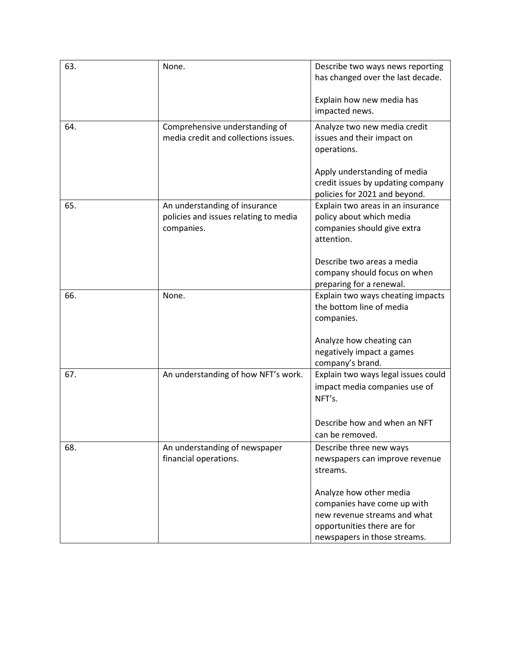| 63. | None.                                                                                | Describe two ways news reporting<br>has changed over the last decade.                                                                                                    |
|-----|--------------------------------------------------------------------------------------|--------------------------------------------------------------------------------------------------------------------------------------------------------------------------|
|     |                                                                                      | Explain how new media has<br>impacted news.                                                                                                                              |
| 64. | Comprehensive understanding of<br>media credit and collections issues.               | Analyze two new media credit<br>issues and their impact on<br>operations.                                                                                                |
|     |                                                                                      | Apply understanding of media<br>credit issues by updating company<br>policies for 2021 and beyond.                                                                       |
| 65. | An understanding of insurance<br>policies and issues relating to media<br>companies. | Explain two areas in an insurance<br>policy about which media<br>companies should give extra<br>attention.<br>Describe two areas a media<br>company should focus on when |
| 66. | None.                                                                                | preparing for a renewal.<br>Explain two ways cheating impacts<br>the bottom line of media<br>companies.                                                                  |
|     |                                                                                      | Analyze how cheating can<br>negatively impact a games<br>company's brand.                                                                                                |
| 67. | An understanding of how NFT's work.                                                  | Explain two ways legal issues could<br>impact media companies use of<br>NFT's.                                                                                           |
|     |                                                                                      | Describe how and when an NFT<br>can be removed.                                                                                                                          |
| 68. | An understanding of newspaper<br>financial operations.                               | Describe three new ways<br>newspapers can improve revenue<br>streams.                                                                                                    |
|     |                                                                                      | Analyze how other media<br>companies have come up with<br>new revenue streams and what<br>opportunities there are for<br>newspapers in those streams.                    |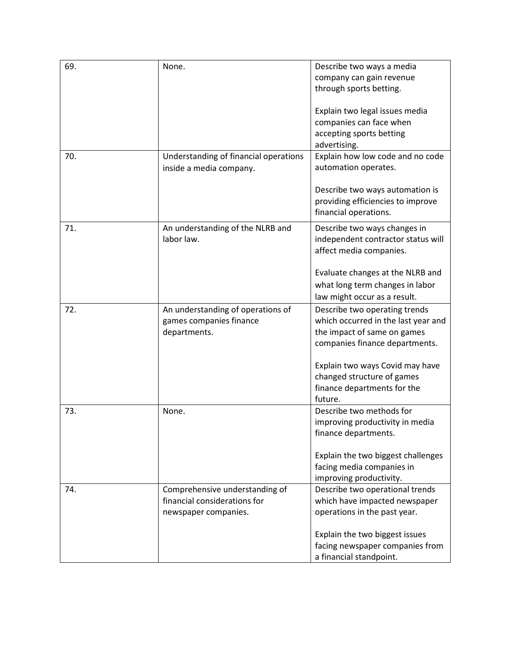| 69. | None.                                 | Describe two ways a media           |
|-----|---------------------------------------|-------------------------------------|
|     |                                       | company can gain revenue            |
|     |                                       | through sports betting.             |
|     |                                       |                                     |
|     |                                       | Explain two legal issues media      |
|     |                                       | companies can face when             |
|     |                                       | accepting sports betting            |
|     |                                       | advertising.                        |
| 70. | Understanding of financial operations | Explain how low code and no code    |
|     | inside a media company.               | automation operates.                |
|     |                                       |                                     |
|     |                                       | Describe two ways automation is     |
|     |                                       | providing efficiencies to improve   |
|     |                                       | financial operations.               |
|     |                                       |                                     |
| 71. | An understanding of the NLRB and      | Describe two ways changes in        |
|     | labor law.                            | independent contractor status will  |
|     |                                       | affect media companies.             |
|     |                                       |                                     |
|     |                                       | Evaluate changes at the NLRB and    |
|     |                                       | what long term changes in labor     |
|     |                                       | law might occur as a result.        |
| 72. | An understanding of operations of     | Describe two operating trends       |
|     | games companies finance               | which occurred in the last year and |
|     | departments.                          | the impact of same on games         |
|     |                                       | companies finance departments.      |
|     |                                       | Explain two ways Covid may have     |
|     |                                       | changed structure of games          |
|     |                                       | finance departments for the         |
|     |                                       | future.                             |
| 73. | None.                                 | Describe two methods for            |
|     |                                       | improving productivity in media     |
|     |                                       | finance departments.                |
|     |                                       |                                     |
|     |                                       | Explain the two biggest challenges  |
|     |                                       | facing media companies in           |
|     |                                       | improving productivity.             |
| 74. | Comprehensive understanding of        | Describe two operational trends     |
|     | financial considerations for          | which have impacted newspaper       |
|     | newspaper companies.                  | operations in the past year.        |
|     |                                       |                                     |
|     |                                       | Explain the two biggest issues      |
|     |                                       | facing newspaper companies from     |
|     |                                       | a financial standpoint.             |